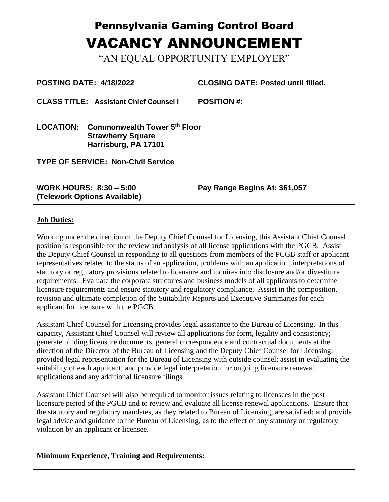## Pennsylvania Gaming Control Board VACANCY ANNOUNCEMENT

"AN EQUAL OPPORTUNITY EMPLOYER"

**POSTING DATE: 4/18/2022 CLOSING DATE: Posted until filled.**

**CLASS TITLE: Assistant Chief Counsel I POSITION #:** 

**LOCATION: Commonwealth Tower 5 th Floor Strawberry Square Harrisburg, PA 17101**

**TYPE OF SERVICE: Non-Civil Service**

**WORK HOURS: 8:30 – 5:00 (Telework Options Available)** **Pay Range Begins At: \$61,057**

## **Job Duties:**

Working under the direction of the Deputy Chief Counsel for Licensing, this Assistant Chief Counsel position is responsible for the review and analysis of all license applications with the PGCB. Assist the Deputy Chief Counsel in responding to all questions from members of the PCGB staff or applicant representatives related to the status of an application, problems with an application, interpretations of statutory or regulatory provisions related to licensure and inquires into disclosure and/or divestiture requirements. Evaluate the corporate structures and business models of all applicants to determine licensure requirements and ensure statutory and regulatory compliance. Assist in the composition, revision and ultimate completion of the Suitability Reports and Executive Summaries for each applicant for licensure with the PGCB.

Assistant Chief Counsel for Licensing provides legal assistance to the Bureau of Licensing. In this capacity, Assistant Chief Counsel will review all applications for form, legality and consistency; generate binding licensure documents, general correspondence and contractual documents at the direction of the Director of the Bureau of Licensing and the Deputy Chief Counsel for Licensing; provided legal representation for the Bureau of Licensing with outside counsel; assist in evaluating the suitability of each applicant; and provide legal interpretation for ongoing licensure renewal applications and any additional licensure filings.

Assistant Chief Counsel will also be required to monitor issues relating to licensees in the post licensure period of the PGCB and to review and evaluate all license renewal applications. Ensure that the statutory and regulatory mandates, as they related to Bureau of Licensing, are satisfied; and provide legal advice and guidance to the Bureau of Licensing, as to the effect of any statutory or regulatory violation by an applicant or licensee.

**Minimum Experience, Training and Requirements:**